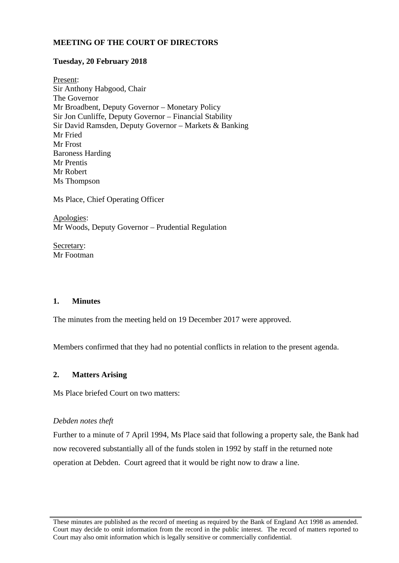# **MEETING OF THE COURT OF DIRECTORS**

# **Tuesday, 20 February 2018**

Present: Sir Anthony Habgood, Chair The Governor Mr Broadbent, Deputy Governor – Monetary Policy Sir Jon Cunliffe, Deputy Governor – Financial Stability Sir David Ramsden, Deputy Governor – Markets & Banking Mr Fried Mr Frost Baroness Harding Mr Prentis Mr Robert Ms Thompson

Ms Place, Chief Operating Officer

Apologies: Mr Woods, Deputy Governor – Prudential Regulation

Secretary: Mr Footman

# **1. Minutes**

The minutes from the meeting held on 19 December 2017 were approved.

Members confirmed that they had no potential conflicts in relation to the present agenda.

# **2. Matters Arising**

Ms Place briefed Court on two matters:

# *Debden notes theft*

Further to a minute of 7 April 1994, Ms Place said that following a property sale, the Bank had now recovered substantially all of the funds stolen in 1992 by staff in the returned note operation at Debden. Court agreed that it would be right now to draw a line.

These minutes are published as the record of meeting as required by the Bank of England Act 1998 as amended. Court may decide to omit information from the record in the public interest. The record of matters reported to Court may also omit information which is legally sensitive or commercially confidential.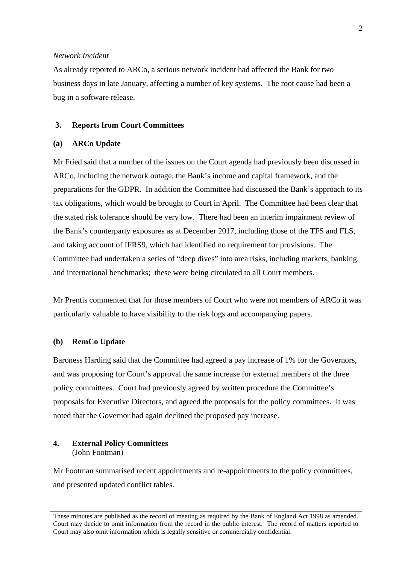# *Network Incident*

As already reported to ARCo, a serious network incident had affected the Bank for two business days in late January, affecting a number of key systems. The root cause had been a bug in a software release.

# **3. Reports from Court Committees**

# **(a) ARCo Update**

Mr Fried said that a number of the issues on the Court agenda had previously been discussed in ARCo, including the network outage, the Bank's income and capital framework, and the preparations for the GDPR. In addition the Committee had discussed the Bank's approach to its tax obligations, which would be brought to Court in April. The Committee had been clear that the stated risk tolerance should be very low. There had been an interim impairment review of the Bank's counterparty exposures as at December 2017, including those of the TFS and FLS, and taking account of IFRS9, which had identified no requirement for provisions. The Committee had undertaken a series of "deep dives" into area risks, including markets, banking, and international benchmarks; these were being circulated to all Court members.

Mr Prentis commented that for those members of Court who were not members of ARCo it was particularly valuable to have visibility to the risk logs and accompanying papers.

#### **(b) RemCo Update**

Baroness Harding said that the Committee had agreed a pay increase of 1% for the Governors, and was proposing for Court's approval the same increase for external members of the three policy committees. Court had previously agreed by written procedure the Committee's proposals for Executive Directors, and agreed the proposals for the policy committees. It was noted that the Governor had again declined the proposed pay increase.

# **4. External Policy Committees**  (John Footman)

Mr Footman summarised recent appointments and re-appointments to the policy committees, and presented updated conflict tables.

These minutes are published as the record of meeting as required by the Bank of England Act 1998 as amended. Court may decide to omit information from the record in the public interest. The record of matters reported to Court may also omit information which is legally sensitive or commercially confidential.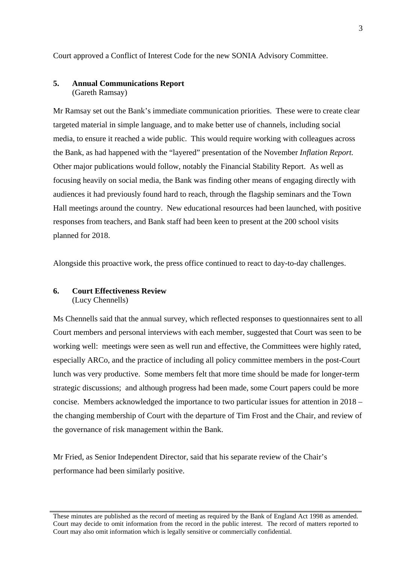Court approved a Conflict of Interest Code for the new SONIA Advisory Committee.

## **5. Annual Communications Report**  (Gareth Ramsay)

Mr Ramsay set out the Bank's immediate communication priorities. These were to create clear targeted material in simple language, and to make better use of channels, including social media, to ensure it reached a wide public. This would require working with colleagues across the Bank, as had happened with the "layered" presentation of the November *Inflation Report.* Other major publications would follow, notably the Financial Stability Report. As well as focusing heavily on social media, the Bank was finding other means of engaging directly with audiences it had previously found hard to reach, through the flagship seminars and the Town Hall meetings around the country. New educational resources had been launched, with positive responses from teachers, and Bank staff had been keen to present at the 200 school visits planned for 2018.

Alongside this proactive work, the press office continued to react to day-to-day challenges.

## **6. Court Effectiveness Review**  (Lucy Chennells)

Ms Chennells said that the annual survey, which reflected responses to questionnaires sent to all Court members and personal interviews with each member, suggested that Court was seen to be working well: meetings were seen as well run and effective, the Committees were highly rated, especially ARCo, and the practice of including all policy committee members in the post-Court lunch was very productive. Some members felt that more time should be made for longer-term strategic discussions; and although progress had been made, some Court papers could be more concise. Members acknowledged the importance to two particular issues for attention in 2018 – the changing membership of Court with the departure of Tim Frost and the Chair, and review of the governance of risk management within the Bank.

Mr Fried, as Senior Independent Director, said that his separate review of the Chair's performance had been similarly positive.

These minutes are published as the record of meeting as required by the Bank of England Act 1998 as amended. Court may decide to omit information from the record in the public interest. The record of matters reported to Court may also omit information which is legally sensitive or commercially confidential.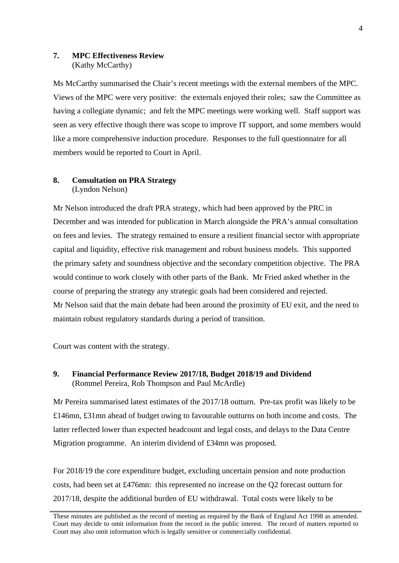# **7. MPC Effectiveness Review**  (Kathy McCarthy)

Ms McCarthy summarised the Chair's recent meetings with the external members of the MPC. Views of the MPC were very positive: the externals enjoyed their roles; saw the Committee as having a collegiate dynamic; and felt the MPC meetings were working well. Staff support was seen as very effective though there was scope to improve IT support, and some members would like a more comprehensive induction procedure. Responses to the full questionnaire for all members would be reported to Court in April.

# **8. Consultation on PRA Strategy**  (Lyndon Nelson)

Mr Nelson introduced the draft PRA strategy, which had been approved by the PRC in December and was intended for publication in March alongside the PRA's annual consultation on fees and levies. The strategy remained to ensure a resilient financial sector with appropriate capital and liquidity, effective risk management and robust business models. This supported the primary safety and soundness objective and the secondary competition objective. The PRA would continue to work closely with other parts of the Bank. Mr Fried asked whether in the course of preparing the strategy any strategic goals had been considered and rejected. Mr Nelson said that the main debate had been around the proximity of EU exit, and the need to maintain robust regulatory standards during a period of transition.

Court was content with the strategy.

# **9. Financial Performance Review 2017/18, Budget 2018/19 and Dividend**  (Rommel Pereira, Rob Thompson and Paul McArdle)

Mr Pereira summarised latest estimates of the 2017/18 outturn. Pre-tax profit was likely to be £146mn, £31mn ahead of budget owing to favourable outturns on both income and costs. The latter reflected lower than expected headcount and legal costs, and delays to the Data Centre Migration programme. An interim dividend of £34mn was proposed.

For 2018/19 the core expenditure budget, excluding uncertain pension and note production costs, had been set at £476mn: this represented no increase on the Q2 forecast outturn for 2017/18, despite the additional burden of EU withdrawal. Total costs were likely to be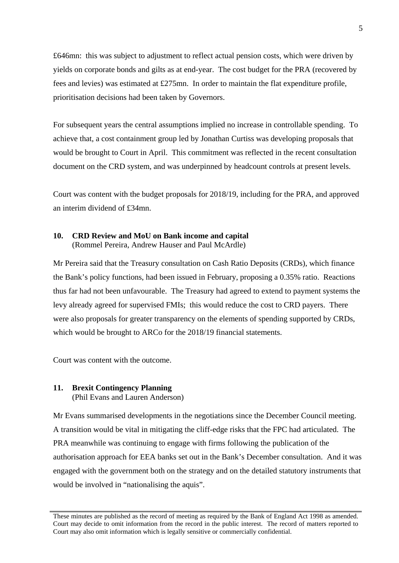£646mn: this was subject to adjustment to reflect actual pension costs, which were driven by yields on corporate bonds and gilts as at end-year. The cost budget for the PRA (recovered by fees and levies) was estimated at £275mn. In order to maintain the flat expenditure profile, prioritisation decisions had been taken by Governors.

For subsequent years the central assumptions implied no increase in controllable spending. To achieve that, a cost containment group led by Jonathan Curtiss was developing proposals that would be brought to Court in April. This commitment was reflected in the recent consultation document on the CRD system, and was underpinned by headcount controls at present levels.

Court was content with the budget proposals for 2018/19, including for the PRA, and approved an interim dividend of £34mn.

# **10. CRD Review and MoU on Bank income and capital**  (Rommel Pereira, Andrew Hauser and Paul McArdle)

Mr Pereira said that the Treasury consultation on Cash Ratio Deposits (CRDs), which finance the Bank's policy functions, had been issued in February, proposing a 0.35% ratio. Reactions thus far had not been unfavourable. The Treasury had agreed to extend to payment systems the levy already agreed for supervised FMIs; this would reduce the cost to CRD payers. There were also proposals for greater transparency on the elements of spending supported by CRDs, which would be brought to ARCo for the 2018/19 financial statements.

Court was content with the outcome.

# **11. Brexit Contingency Planning**

(Phil Evans and Lauren Anderson)

Mr Evans summarised developments in the negotiations since the December Council meeting. A transition would be vital in mitigating the cliff-edge risks that the FPC had articulated. The PRA meanwhile was continuing to engage with firms following the publication of the authorisation approach for EEA banks set out in the Bank's December consultation. And it was engaged with the government both on the strategy and on the detailed statutory instruments that would be involved in "nationalising the aquis".

These minutes are published as the record of meeting as required by the Bank of England Act 1998 as amended. Court may decide to omit information from the record in the public interest. The record of matters reported to Court may also omit information which is legally sensitive or commercially confidential.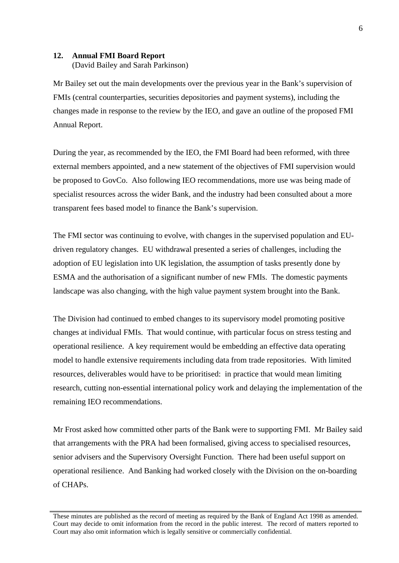#### **12. Annual FMI Board Report**  (David Bailey and Sarah Parkinson)

Mr Bailey set out the main developments over the previous year in the Bank's supervision of FMIs (central counterparties, securities depositories and payment systems), including the changes made in response to the review by the IEO, and gave an outline of the proposed FMI Annual Report.

During the year, as recommended by the IEO, the FMI Board had been reformed, with three external members appointed, and a new statement of the objectives of FMI supervision would be proposed to GovCo. Also following IEO recommendations, more use was being made of specialist resources across the wider Bank, and the industry had been consulted about a more transparent fees based model to finance the Bank's supervision.

The FMI sector was continuing to evolve, with changes in the supervised population and EUdriven regulatory changes. EU withdrawal presented a series of challenges, including the adoption of EU legislation into UK legislation, the assumption of tasks presently done by ESMA and the authorisation of a significant number of new FMIs. The domestic payments landscape was also changing, with the high value payment system brought into the Bank.

The Division had continued to embed changes to its supervisory model promoting positive changes at individual FMIs. That would continue, with particular focus on stress testing and operational resilience. A key requirement would be embedding an effective data operating model to handle extensive requirements including data from trade repositories. With limited resources, deliverables would have to be prioritised: in practice that would mean limiting research, cutting non-essential international policy work and delaying the implementation of the remaining IEO recommendations.

Mr Frost asked how committed other parts of the Bank were to supporting FMI. Mr Bailey said that arrangements with the PRA had been formalised, giving access to specialised resources, senior advisers and the Supervisory Oversight Function. There had been useful support on operational resilience. And Banking had worked closely with the Division on the on-boarding of CHAPs.

These minutes are published as the record of meeting as required by the Bank of England Act 1998 as amended. Court may decide to omit information from the record in the public interest. The record of matters reported to Court may also omit information which is legally sensitive or commercially confidential.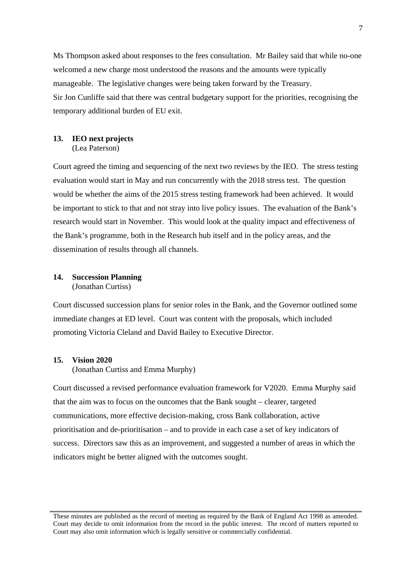Ms Thompson asked about responses to the fees consultation. Mr Bailey said that while no-one welcomed a new charge most understood the reasons and the amounts were typically manageable. The legislative changes were being taken forward by the Treasury. Sir Jon Cunliffe said that there was central budgetary support for the priorities, recognising the temporary additional burden of EU exit.

#### **13. IEO next projects**  (Lea Paterson)

Court agreed the timing and sequencing of the next two reviews by the IEO. The stress testing evaluation would start in May and run concurrently with the 2018 stress test. The question would be whether the aims of the 2015 stress testing framework had been achieved. It would be important to stick to that and not stray into live policy issues. The evaluation of the Bank's research would start in November. This would look at the quality impact and effectiveness of the Bank's programme, both in the Research hub itself and in the policy areas, and the dissemination of results through all channels.

#### **14. Succession Planning**  (Jonathan Curtiss)

Court discussed succession plans for senior roles in the Bank, and the Governor outlined some immediate changes at ED level. Court was content with the proposals, which included promoting Victoria Cleland and David Bailey to Executive Director.

#### **15. Vision 2020**

(Jonathan Curtiss and Emma Murphy)

Court discussed a revised performance evaluation framework for V2020. Emma Murphy said that the aim was to focus on the outcomes that the Bank sought – clearer, targeted communications, more effective decision-making, cross Bank collaboration, active prioritisation and de-prioritisation – and to provide in each case a set of key indicators of success. Directors saw this as an improvement, and suggested a number of areas in which the indicators might be better aligned with the outcomes sought.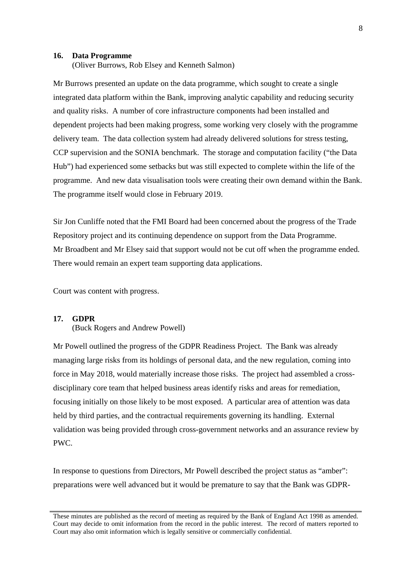#### **16. Data Programme**

(Oliver Burrows, Rob Elsey and Kenneth Salmon)

Mr Burrows presented an update on the data programme, which sought to create a single integrated data platform within the Bank, improving analytic capability and reducing security and quality risks. A number of core infrastructure components had been installed and dependent projects had been making progress, some working very closely with the programme delivery team. The data collection system had already delivered solutions for stress testing, CCP supervision and the SONIA benchmark. The storage and computation facility ("the Data Hub") had experienced some setbacks but was still expected to complete within the life of the programme. And new data visualisation tools were creating their own demand within the Bank. The programme itself would close in February 2019.

Sir Jon Cunliffe noted that the FMI Board had been concerned about the progress of the Trade Repository project and its continuing dependence on support from the Data Programme. Mr Broadbent and Mr Elsey said that support would not be cut off when the programme ended. There would remain an expert team supporting data applications.

Court was content with progress.

### **17. GDPR**

(Buck Rogers and Andrew Powell)

Mr Powell outlined the progress of the GDPR Readiness Project. The Bank was already managing large risks from its holdings of personal data, and the new regulation, coming into force in May 2018, would materially increase those risks. The project had assembled a crossdisciplinary core team that helped business areas identify risks and areas for remediation, focusing initially on those likely to be most exposed. A particular area of attention was data held by third parties, and the contractual requirements governing its handling. External validation was being provided through cross-government networks and an assurance review by PWC.

In response to questions from Directors, Mr Powell described the project status as "amber": preparations were well advanced but it would be premature to say that the Bank was GDPR-